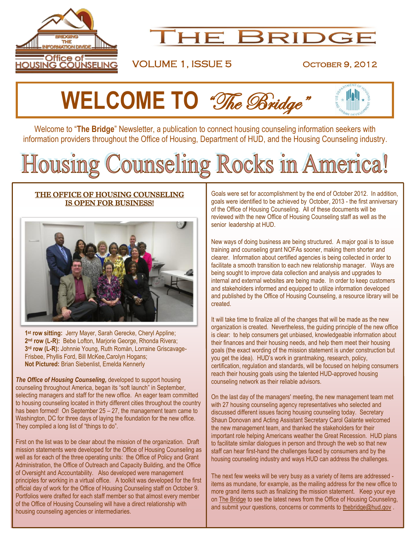

# **THE BRIDGE**

## VOLUME 1, ISSUE 5 OCTOBER 9, 2012

# **WELCOME TO** "The Bridge"

Welcome to "**The Bridge**" Newsletter, a publication to connect housing counseling information seekers with information providers throughout the Office of Housing, Department of HUD, and the Housing Counseling industry.

# Housing Counseling Rocks in America!

## THE OFFICE OF HOUSING COUNSELING IS OPEN FOR BUSINESS!



**1 st row sitting:** Jerry Mayer, Sarah Gerecke, Cheryl Appline; **2 nd row (L-R):** Bebe Lofton, Marjorie George, Rhonda Rivera; **3 rd row (L-R):** Johnnie Young, Ruth Romàn, Lorraine Griscavage-Frisbee, Phyllis Ford, Bill McKee,Carolyn Hogans; **Not Pictured:** Brian Siebenlist, Emelda Kennerly

*The Office of Housing Counseling,* developed to support housing counseling throughout America, began its "soft launch" in September, selecting managers and staff for the new office. An eager team committed to housing counseling located in thirty different cities throughout the country has been formed! On September 25 – 27, the management team came to Washington, DC for three days of laying the foundation for the new office. They compiled a long list of "things to do".

First on the list was to be clear about the mission of the organization. Draft mission statements were developed for the Office of Housing Counseling as well as for each of the three operating units: the Office of Policy and Grant Administration, the Office of Outreach and Capacity Building, and the Office of Oversight and Accountability. Also developed were management principles for working in a virtual office. A toolkit was developed for the first official day of work for the Office of Housing Counseling staff on October 9. Portfolios were drafted for each staff member so that almost every member of the Office of Housing Counseling will have a direct relationship with housing counseling agencies or intermediaries.

Goals were set for accomplishment by the end of October 2012. In addition, goals were identified to be achieved by October, 2013 - the first anniversary of the Office of Housing Counseling. All of these documents will be reviewed with the new Office of Housing Counseling staff as well as the senior leadership at HUD.

New ways of doing business are being structured. A major goal is to issue training and counseling grant NOFAs sooner, making them shorter and clearer. Information about certified agencies is being collected in order to facilitate a smooth transition to each new relationship manager. Ways are being sought to improve data collection and analysis and upgrades to internal and external websites are being made. In order to keep customers and stakeholders informed and equipped to utilize information developed and published by the Office of Housing Counseling, a resource library will be created.

It will take time to finalize all of the changes that will be made as the new organization is created. Nevertheless, the guiding principle of the new office is clear: to help consumers get unbiased, knowledgeable information about their finances and their housing needs, and help them meet their housing goals (the exact wording of the mission statement is under construction but you get the idea). HUD's work in grantmaking, research, policy, certification, regulation and standards, will be focused on helping consumers reach their housing goals using the talented HUD-approved housing counseling network as their reliable advisors.

On the last day of the managers' meeting, the new management team met with 27 housing counseling agency representatives who selected and discussed different issues facing housing counseling today. Secretary Shaun Donovan and Acting Assistant Secretary Carol Galante welcomed the new management team, and thanked the stakeholders for their important role helping Americans weather the Great Recession. HUD plans to facilitate similar dialogues in person and through the web so that new staff can hear first-hand the challenges faced by consumers and by the housing counseling industry and ways HUD can address the challenges.

The next few weeks will be very busy as a variety of items are addressed items as mundane, for example, as the mailing address for the new office to more grand items such as finalizing the mission statement. Keep your eye on The Bridge to see the latest news from the Office of Housing Counseling, and submit your questions, concerns or comments to [thebridge@hud.gov](mailto:thebridge@hud.gov).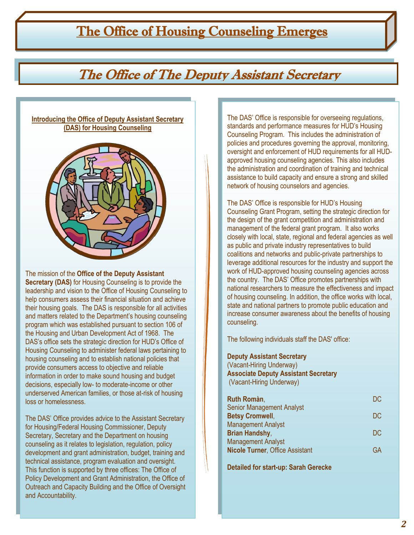# The Office of Housing Counseling Emerges

# The Office of The Deputy Assistant Secretary

## **Introducing the Office of Deputy Assistant Secretary (DAS) for Housing Counseling**



The mission of the **Office of the Deputy Assistant Secretary (DAS)** for Housing Counseling is to provide the leadership and vision to the Office of Housing Counseling to help consumers assess their financial situation and achieve their housing goals. The DAS is responsible for all activities and matters related to the Department's housing counseling program which was established pursuant to section 106 of the Housing and Urban Development Act of 1968. The DAS's office sets the strategic direction for HUD's Office of Housing Counseling to administer federal laws pertaining to housing counseling and to establish national policies that provide consumers access to objective and reliable information in order to make sound housing and budget decisions, especially low- to moderate-income or other underserved American families, or those at-risk of housing loss or homelessness.

The DAS' Office provides advice to the Assistant Secretary for Housing/Federal Housing Commissioner, Deputy Secretary, Secretary and the Department on housing counseling as it relates to legislation, regulation, policy development and grant administration, budget, training and technical assistance, program evaluation and oversight. This function is supported by three offices: The Office of Policy Development and Grant Administration, the Office of Outreach and Capacity Building and the Office of Oversight and Accountability.

The DAS' Office is responsible for overseeing regulations, standards and performance measures for HUD's Housing Counseling Program. This includes the administration of policies and procedures governing the approval, monitoring, oversight and enforcement of HUD requirements for all HUDapproved housing counseling agencies. This also includes the administration and coordination of training and technical assistance to build capacity and ensure a strong and skilled network of housing counselors and agencies.

The DAS' Office is responsible for HUD's Housing Counseling Grant Program, setting the strategic direction for the design of the grant competition and administration and management of the federal grant program. It also works closely with local, state, regional and federal agencies as well as public and private industry representatives to build coalitions and networks and public-private partnerships to leverage additional resources for the industry and support the work of HUD-approved housing counseling agencies across the country. The DAS' Office promotes partnerships with national researchers to measure the effectiveness and impact of housing counseling. In addition, the office works with local, state and national partners to promote public education and increase consumer awareness about the benefits of housing counseling.

The following individuals staff the DAS' office:

## **Deputy Assistant Secretary**

(Vacant-Hiring Underway) **Associate Deputy Assistant Secretary** (Vacant-Hiring Underway)

| DC |
|----|
|    |
| DC |
|    |
| DC |
|    |
| GA |
|    |

**Detailed for start-up: Sarah Gerecke**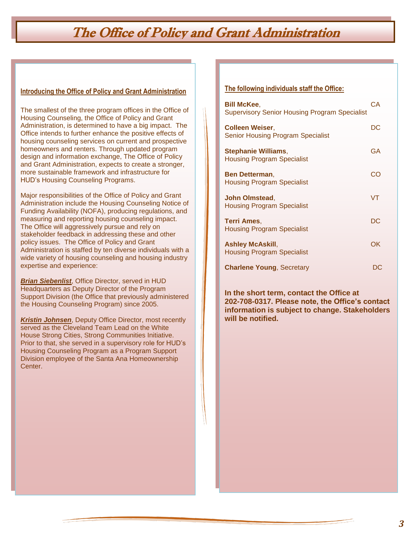# The Office of Policy and Grant Administration

## **Introducing the Office of Policy and Grant Administration**

The smallest of the three program offices in the Office of Housing Counseling, the Office of Policy and Grant Administration, is determined to have a big impact. The Office intends to further enhance the positive effects of housing counseling services on current and prospective homeowners and renters. Through updated program design and information exchange, The Office of Policy and Grant Administration, expects to create a stronger, more sustainable framework and infrastructure for HUD's Housing Counseling Programs.

Major responsibilities of the Office of Policy and Grant Administration include the Housing Counseling Notice of Funding Availability (NOFA), producing regulations, and measuring and reporting housing counseling impact. The Office will aggressively pursue and rely on stakeholder feedback in addressing these and other policy issues. The Office of Policy and Grant Administration is staffed by ten diverse individuals with a wide variety of housing counseling and housing industry expertise and experience:

*Brian Siebenlist*, Office Director, served in HUD Headquarters as Deputy Director of the Program Support Division (the Office that previously administered the Housing Counseling Program) since 2005.

*Kristin Johnsen*, Deputy Office Director, most recently served as the Cleveland Team Lead on the White House Strong Cities, Strong Communities Initiative. Prior to that, she served in a supervisory role for HUD's Housing Counseling Program as a Program Support Division employee of the Santa Ana Homeownership Center.

## **The following individuals staff the Office:**

| Bill McKee,<br><b>Supervisory Senior Housing Program Specialist</b> | СA |
|---------------------------------------------------------------------|----|
| <b>Colleen Weiser,</b><br><b>Senior Housing Program Specialist</b>  | DC |
| Stephanie Williams,<br><b>Housing Program Specialist</b>            | GA |
| <b>Ben Detterman,</b><br><b>Housing Program Specialist</b>          | CC |
| <b>John Olmstead,</b><br><b>Housing Program Specialist</b>          | VT |
| <b>Terri Ames.</b><br><b>Housing Program Specialist</b>             | DC |
| <b>Ashley McAskill,</b><br><b>Housing Program Specialist</b>        | OK |
| <b>Charlene Young, Secretary</b>                                    | DC |

**In the short term, contact the Office at 202-708-0317. Please note, the Office's contact information is subject to change. Stakeholders will be notified.**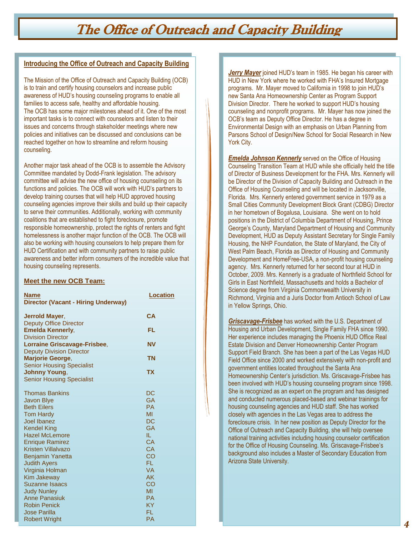## The Office of Outreach and Capacity Building

## **Introducing the Office of Outreach and Capacity Building**

The Mission of the Office of Outreach and Capacity Building (OCB) is to train and certify housing counselors and increase public awareness of HUD's housing counseling programs to enable all families to access safe, healthy and affordable housing. The OCB has some major milestones ahead of it. One of the most important tasks is to connect with counselors and listen to their issues and concerns through stakeholder meetings where new policies and initiatives can be discussed and conclusions can be reached together on how to streamline and reform housing counseling.

Another major task ahead of the OCB is to assemble the Advisory Committee mandated by Dodd-Frank legislation. The advisory committee will advise the new office of housing counseling on its functions and policies. The OCB will work with HUD's partners to develop training courses that will help HUD approved housing counseling agencies improve their skills and build up their capacity to serve their communities. Additionally, working with community coalitions that are established to fight foreclosure, promote responsible homeownership, protect the rights of renters and fight homelessness is another major function of the OCB. The OCB will also be working with housing counselors to help prepare them for HUD Certification and with community partners to raise public awareness and better inform consumers of the incredible value that housing counseling represents.

## **Meet the new OCB Team:**

j

| <b>Name</b>                         | <b>Location</b> |
|-------------------------------------|-----------------|
| Director (Vacant - Hiring Underway) |                 |
| Jerrold Mayer,                      | CA              |
| <b>Deputy Office Director</b>       |                 |
| <b>Emelda Kennerly,</b>             | FL              |
| <b>Division Director</b>            |                 |
| <b>Lorraine Griscavage-Frisbee,</b> | <b>NV</b>       |
| <b>Deputy Division Director</b>     |                 |
| <b>Marjorie George,</b>             | <b>TN</b>       |
| <b>Senior Housing Specialist</b>    |                 |
| <b>Johnny Young,</b>                | <b>TX</b>       |
| <b>Senior Housing Specialist</b>    |                 |
| <b>Thomas Bankins</b>               | DC              |
| <b>Javon Blye</b>                   | <b>GA</b>       |
| <b>Beth Eilers</b>                  | <b>PA</b>       |
| <b>Tom Hardy</b>                    | MI              |
| Joel Ibanez                         | DC              |
| <b>Kendel King</b>                  | <b>GA</b>       |
| <b>Hazel McLemore</b>               | IL.             |
| <b>Enrique Ramirez</b>              | CA              |
| <b>Kristen Villalvazo</b>           | <b>CA</b>       |
| <b>Benjamin Yanetta</b>             | CO              |
| <b>Judith Ayers</b>                 | FL.             |
| Virginia Holman                     | <b>VA</b>       |
| <b>Kim Jakeway</b>                  | AK              |
| <b>Suzanne Isaacs</b>               | CO              |
| <b>Judy Nunley</b>                  | MI              |
| <b>Anne Panasiuk</b>                | <b>PA</b>       |
| <b>Robin Penick</b>                 | KY              |
| <b>Jose Parilla</b>                 | FL              |
| <b>Robert Wright</b>                | <b>PA</b>       |

*Jerry Mayer* joined HUD's team in 1985. He began his career with HUD in New York where he worked with FHA's Insured Mortgage programs. Mr. Mayer moved to California in 1998 to join HUD's new Santa Ana Homeownership Center as Program Support Division Director. There he worked to support HUD's housing counseling and nonprofit programs. Mr. Mayer has now joined the OCB's team as Deputy Office Director. He has a degree in Environmental Design with an emphasis on Urban Planning from Parsons School of Design/New School for Social Research in New York City.

*Emelda Johnson Kennerly* served on the Office of Housing Counseling Transition Team at HUD while she officially held the title of Director of Business Development for the FHA. Mrs. Kennerly will be Director of the Division of Capacity Building and Outreach in the Office of Housing Counseling and will be located in Jacksonville, Florida. Mrs. Kennerly entered government service in 1979 as a Small Cities Community Development Block Grant (CDBG) Director in her hometown of Bogalusa, Louisiana. She went on to hold positions in the District of Columbia Department of Housing, Prince George's County, Maryland Department of Housing and Community Development, HUD as Deputy Assistant Secretary for Single Family Housing, the NHP Foundation, the State of Maryland, the City of West Palm Beach, Florida as Director of Housing and Community Development and HomeFree-USA, a non-profit housing counseling agency. Mrs. Kennerly returned for her second tour at HUD in October, 2009. Mrs. Kennerly is a graduate of Northfield School for Girls in East Northfield, Massachusetts and holds a Bachelor of Science degree from Virginia Commonwealth University in Richmond, Virginia and a Juris Doctor from Antioch School of Law in Yellow Springs, Ohio.

*Griscavage-Frisbee* has worked with the U.S. Department of Housing and Urban Development, Single Family FHA since 1990. Her experience includes managing the Phoenix HUD Office Real Estate Division and Denver Homeownership Center Program Support Field Branch. She has been a part of the Las Vegas HUD Field Office since 2000 and worked extensively with non-profit and government entities located throughout the Santa Ana Homeownership Center's jurisdiction. Ms. Griscavage-Frisbee has been involved with HUD's housing counseling program since 1998. She is recognized as an expert on the program and has designed and conducted numerous placed-based and webinar trainings for housing counseling agencies and HUD staff. She has worked closely with agencies in the Las Vegas area to address the foreclosure crisis. In her new position as Deputy Director for the Office of Outreach and Capacity Building, she will help oversee national training activities including housing counselor certification for the Office of Housing Counseling. Ms. Griscavage-Frisbee's background also includes a Master of Secondary Education from Arizona State University.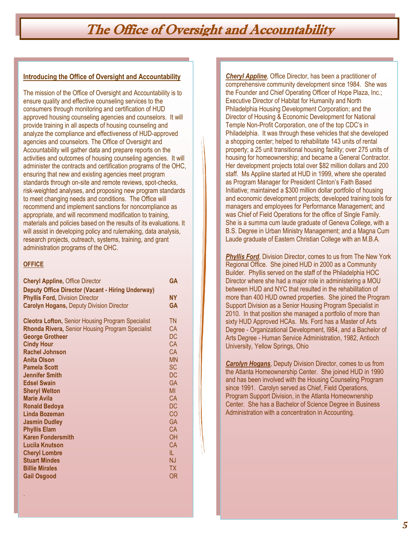## The Office of Oversight and Accountability

## **Introducing the Office of Oversight and Accountability**

The mission of the Office of Oversight and Accountability is to ensure quality and effective counseling services to the consumers through monitoring and certification of HUD approved housing counseling agencies and counselors. It will provide training in all aspects of housing counseling and analyze the compliance and effectiveness of HUD-approved agencies and counselors. The Office of Oversight and Accountability will gather data and prepare reports on the activities and outcomes of housing counseling agencies. It will administer the contracts and certification programs of the OHC, ensuring that new and existing agencies meet program standards through on-site and remote reviews, spot-checks, risk-weighted analyses, and proposing new program standards to meet changing needs and conditions. The Office will recommend and implement sanctions for noncompliance as appropriate, and will recommend modification to training, materials and policies based on the results of its evaluations. It will assist in developing policy and rulemaking, data analysis, research projects, outreach, systems, training, and grant administration programs of the OHC.

## **OFFICE**

.

| <b>Cheryl Appline, Office Director</b><br><b>Deputy Office Director (Vacant - Hiring Underway)</b> | <b>GA</b> |
|----------------------------------------------------------------------------------------------------|-----------|
| <b>Phyllis Ford, Division Director</b>                                                             | <b>NY</b> |
| <b>Carolyn Hogans, Deputy Division Director</b>                                                    | <b>GA</b> |
|                                                                                                    |           |
| <b>Cleotra Lofton, Senior Housing Program Specialist</b>                                           | <b>TN</b> |
| Rhonda Rivera, Senior Housing Program Specialist                                                   | <b>CA</b> |
| <b>George Grotheer</b>                                                                             | <b>DC</b> |
| <b>Cindy Hour</b>                                                                                  | <b>CA</b> |
| <b>Rachel Johnson</b>                                                                              | CA        |
| <b>Anita Olson</b>                                                                                 | <b>MN</b> |
| <b>Pamela Scott</b>                                                                                | <b>SC</b> |
| <b>Jennifer Smith</b>                                                                              | DC.       |
| <b>Edsel Swain</b>                                                                                 | <b>GA</b> |
| <b>Sheryl Welton</b>                                                                               | MI        |
| <b>Marie Avila</b>                                                                                 | CA        |
| <b>Ronald Bedoya</b>                                                                               | DC        |
| Linda Bozeman                                                                                      | CO        |
| <b>Jasmin Dudley</b>                                                                               | <b>GA</b> |
| <b>Phyllis Elam</b>                                                                                | CA        |
| <b>Karen Fondersmith</b>                                                                           | OH        |
| <b>Lucila Knutson</b>                                                                              | <b>CA</b> |
| <b>Cheryl Lombre</b>                                                                               | IL.       |
| <b>Stuart Mindes</b>                                                                               | NJ.       |
| <b>Billie Mirales</b>                                                                              | <b>TX</b> |
| <b>Gail Osgood</b>                                                                                 | <b>OR</b> |
|                                                                                                    |           |

*Cheryl Appline*, Office Director, has been a practitioner of comprehensive community development since 1984. She was the Founder and Chief Operating Officer of Hope Plaza, Inc.; Executive Director of Habitat for Humanity and North Philadelphia Housing Development Corporation; and the Director of Housing & Economic Development for National Temple Non-Profit Corporation, one of the top CDC's in Philadelphia. It was through these vehicles that she developed a shopping center; helped to rehabilitate 143 units of rental property; a 25 unit transitional housing facility; over 275 units of housing for homeownership; and became a General Contractor. Her development projects total over \$82 million dollars and 200 staff. Ms Appline started at HUD in 1999, where she operated as Program Manager for President Clinton's Faith Based Initiative; maintained a \$300 million dollar portfolio of housing and economic development projects; developed training tools for managers and employees for Performance Management; and was Chief of Field Operations for the office of Single Family. She is a summa cum laude graduate of Geneva College, with a B.S. Degree in Urban Ministry Management; and a Magna Cum Laude graduate of Eastern Christian College with an M.B.A.

**Phyllis Ford**, Division Director, comes to us from The New York Regional Office. She joined HUD in 2000 as a Community Builder. Phyllis served on the staff of the Philadelphia HOC Director where she had a major role in administering a MOU between HUD and NYC that resulted in the rehabilitation of more than 400 HUD owned properties. She joined the Program Support Division as a Senior Housing Program Specialist in 2010. In that position she managed a portfolio of more than sixty HUD Approved HCAs. Ms. Ford has a Master of Arts Degree - Organizational Development, l984, and a Bachelor of Arts Degree - Human Service Administration, 1982, Antioch University*,* Yellow Springs, Ohio

*Carolyn Hogans*, Deputy Division Director, comes to us from the Atlanta Homeownership Center. She joined HUD in 1990 and has been involved with the Housing Counseling Program since 1991. Carolyn served as Chief, Field Operations, Program Support Division, in the Atlanta Homeownership Center. She has a Bachelor of Science Degree in Business Administration with a concentration in Accounting.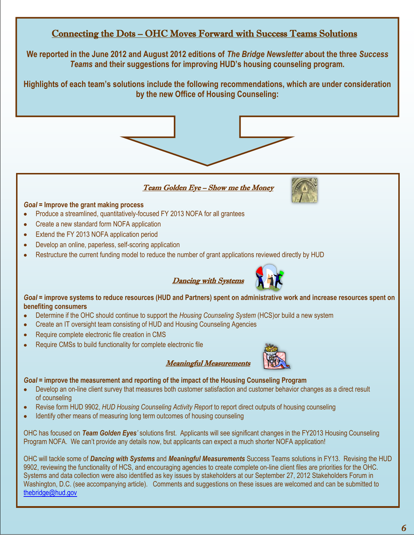## Connecting the Dots – OHC Moves Forward with Success Teams Solutions

**We reported in the June 2012 and August 2012 editions of** *The Bridge Newsletter* **about the three** *Success Teams* **and their suggestions for improving HUD's housing counseling program.**

**Highlights of each team's solutions include the following recommendations, which are under consideration by the new Office of Housing Counseling:** 



Team Golden Eye - Show me the Money



## *Goal =* **Improve the grant making process**

- Produce a streamlined, quantitatively-focused FY 2013 NOFA for all grantees
- Create a new standard form NOFA application  $\bullet$
- Extend the FY 2013 NOFA application period  $\bullet$
- Develop an online, paperless, self-scoring application  $\bullet$
- Restructure the current funding model to reduce the number of grant applications reviewed directly by HUD





*Goal =* **improve systems to reduce resources (HUD and Partners) spent on administrative work and increase resources spent on benefiting consumers** 

Meaningful Measurements

- Determine if the OHC should continue to support the *Housing Counseling System* (HCS)or build a new system
- Create an IT oversight team consisting of HUD and Housing Counseling Agencies  $\bullet$
- Require complete electronic file creation in CMS  $\bullet$
- $\bullet$ Require CMSs to build functionality for complete electronic file



## *Goal* **= improve the measurement and reporting of the impact of the Housing Counseling Program**

- $\bullet$ Develop an on-line client survey that measures both customer satisfaction and customer behavior changes as a direct result of counseling
- Revise form HUD 9902, *HUD Housing Counseling Activity Report* to report direct outputs of housing counseling
- Identify other means of measuring long term outcomes of housing counseling

OHC has focused on *Team Golden Eyes'* solutions first. Applicants will see significant changes in the FY2013 Housing Counseling Program NOFA. We can't provide any details now, but applicants can expect a much shorter NOFA application!

OHC will tackle some of *Dancing with Systems* and *Meaningful Measurements* Success Teams solutions in FY13. Revising the HUD 9902, reviewing the functionality of HCS, and encouraging agencies to create complete on-line client files are priorities for the OHC. Systems and data collection were also identified as key issues by stakeholders at our September 27, 2012 Stakeholders Forum in Washington, D.C. (see accompanying article). Comments and suggestions on these issues are welcomed and can be submitted to [thebridge@hud.gov](mailto:thebridge@hud.gov)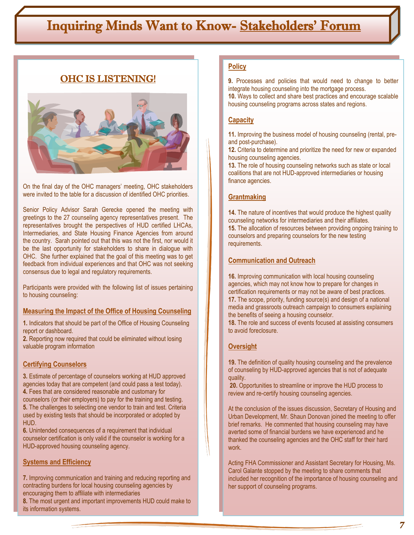# Inquiring Minds Want to Know- Stakeholders' Forum

## OHC IS LISTENING!



On the final day of the OHC managers' meeting, OHC stakeholders were invited to the table for a discussion of identified OHC priorities.

Senior Policy Advisor Sarah Gerecke opened the meeting with greetings to the 27 counseling agency representatives present. The representatives brought the perspectives of HUD certified LHCAs, Intermediaries, and State Housing Finance Agencies from around the country. Sarah pointed out that this was not the first, nor would it be the last opportunity for stakeholders to share in dialogue with OHC. She further explained that the goal of this meeting was to get feedback from individual experiences and that OHC was not seeking consensus due to legal and regulatory requirements.

Participants were provided with the following list of issues pertaining to housing counseling:

#### **Measuring the Impact of the Office of Housing Counseling**

**1.** Indicators that should be part of the Office of Housing Counseling report or dashboard.

**2.** Reporting now required that could be eliminated without losing valuable program information

## **Certifying Counselors**

**3.** Estimate of percentage of counselors working at HUD approved agencies today that are competent (and could pass a test today). **4.** Fees that are considered reasonable and customary for counselors (or their employers) to pay for the training and testing. **5.** The challenges to selecting one vendor to train and test. Criteria used by existing tests that should be incorporated or adopted by HUD.

**6.** Unintended consequences of a requirement that individual counselor certification is only valid if the counselor is working for a HUD-approved housing counseling agency.

#### **Systems and Efficiency**

**7.** Improving communication and training and reducing reporting and contracting burdens for local housing counseling agencies by encouraging them to affiliate with intermediaries

**8.** The most urgent and important improvements HUD could make to its information systems.

## **Policy**

**9.** Processes and policies that would need to change to better integrate housing counseling into the mortgage process.

**10.** Ways to collect and share best practices and encourage scalable housing counseling programs across states and regions.

## **Capacity**

**11.** Improving the business model of housing counseling (rental, preand post-purchase).

**12.** Criteria to determine and prioritize the need for new or expanded housing counseling agencies.

**13.** The role of housing counseling networks such as state or local coalitions that are not HUD-approved intermediaries or housing finance agencies.

## **Grantmaking**

**14.** The nature of incentives that would produce the highest quality counseling networks for intermediaries and their affiliates. **15.** The allocation of resources between providing ongoing training to counselors and preparing counselors for the new testing requirements.

## **Communication and Outreach**

**16.** Improving communication with local housing counseling agencies, which may not know how to prepare for changes in certification requirements or may not be aware of best practices. **17.** The scope, priority, funding source(s) and design of a national media and grassroots outreach campaign to consumers explaining the benefits of seeing a housing counselor.

**18.** The role and success of events focused at assisting consumers to avoid foreclosure.

## **Oversight**

**19.** The definition of quality housing counseling and the prevalence of counseling by HUD-approved agencies that is not of adequate quality.

**20.** Opportunities to streamline or improve the HUD process to review and re-certify housing counseling agencies.

At the conclusion of the issues discussion, Secretary of Housing and Urban Development, Mr. Shaun Donovan joined the meeting to offer brief remarks. He commented that housing counseling may have averted some of financial burdens we have experienced and he thanked the counseling agencies and the OHC staff for their hard work.

Acting FHA Commissioner and Assistant Secretary for Housing, Ms. Carol Galante stopped by the meeting to share comments that included her recognition of the importance of housing counseling and her support of counseling programs.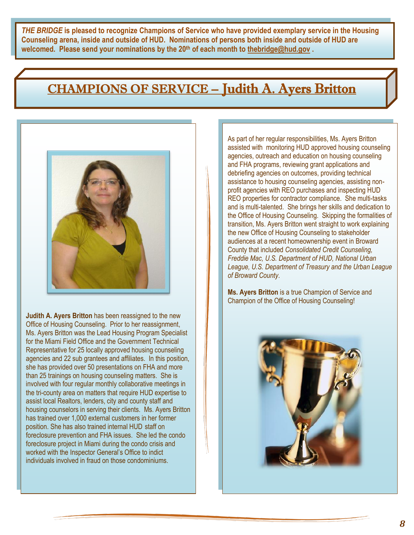*THE BRIDGE* **is pleased to recognize Champions of Service who have provided exemplary service in the Housing Counseling arena, inside and outside of HUD. Nominations of persons both inside and outside of HUD are welcomed. Please send your nominations by the 20th of each month to [thebridge@hud.gov](mailto:thebridge@hud.gov) .**

# CHAMPIONS OF SERVICE – Judith A. Ayers Britton



**Judith A. Ayers Britton** has been reassigned to the new Office of Housing Counseling. Prior to her reassignment, Ms. Ayers Britton was the Lead Housing Program Specialist for the Miami Field Office and the Government Technical Representative for 25 locally approved housing counseling agencies and 22 sub grantees and affiliates. In this position, she has provided over 50 presentations on FHA and more than 25 trainings on housing counseling matters. She is involved with four regular monthly collaborative meetings in the tri-county area on matters that require HUD expertise to assist local Realtors, lenders, city and county staff and housing counselors in serving their clients. Ms. Ayers Britton has trained over 1,000 external customers in her former position. She has also trained internal HUD staff on foreclosure prevention and FHA issues. She led the condo foreclosure project in Miami during the condo crisis and worked with the Inspector General's Office to indict individuals involved in fraud on those condominiums.

As part of her regular responsibilities, Ms. Ayers Britton assisted with monitoring HUD approved housing counseling agencies, outreach and education on housing counseling and FHA programs, reviewing grant applications and debriefing agencies on outcomes, providing technical assistance to housing counseling agencies, assisting nonprofit agencies with REO purchases and inspecting HUD REO properties for contractor compliance. She multi-tasks and is multi-talented. She brings her skills and dedication to the Office of Housing Counseling. Skipping the formalities of transition, Ms. Ayers Britton went straight to work explaining the new Office of Housing Counseling to stakeholder audiences at a recent homeownership event in Broward County that included *Consolidated Credit Counseling, Freddie Mac, U.S. Department of HUD, National Urban League, U.S. Department of Treasury and the Urban League of Broward County*.

**Ms. Ayers Britton** is a true Champion of Service and Champion of the Office of Housing Counseling!